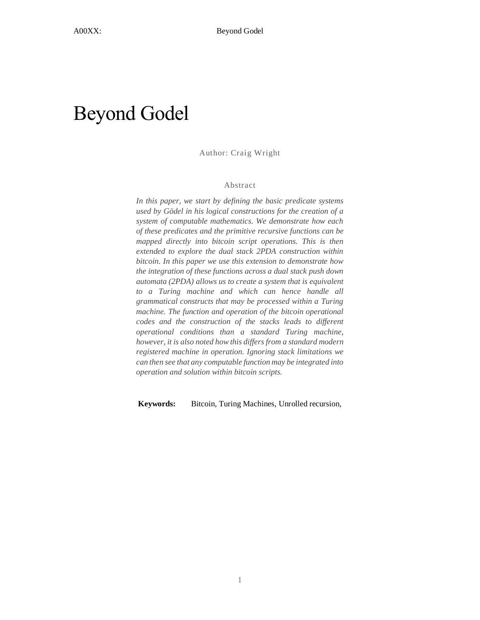# Beyond Godel

#### Author: Craig Wright

#### Abstract

*In this paper, we start by defining the basic predicate systems used by Gödel in his logical constructions for the creation of a system of computable mathematics. We demonstrate how each of these predicates and the primitive recursive functions can be mapped directly into bitcoin script operations. This is then extended to explore the dual stack 2PDA construction within bitcoin. In this paper we use this extension to demonstrate how the integration of these functions across a dual stack push down automata (2PDA) allows us to create a system that is equivalent to a Turing machine and which can hence handle all grammatical constructs that may be processed within a Turing machine. The function and operation of the bitcoin operational codes and the construction of the stacks leads to different operational conditions than a standard Turing machine, however, it is also noted how this differs from a standard modern registered machine in operation. Ignoring stack limitations we can then see that any computable function may be integrated into operation and solution within bitcoin scripts.*

**Keywords:** Bitcoin, Turing Machines, Unrolled recursion,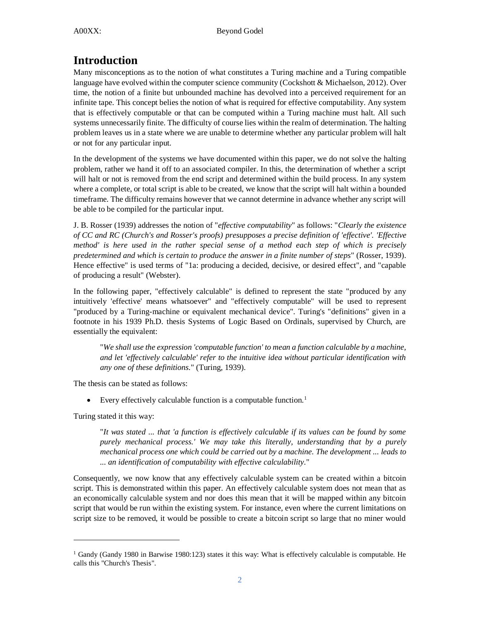# **Introduction**

Many misconceptions as to the notion of what constitutes a Turing machine and a Turing compatible language have evolved within the computer science community (Cockshott & Michaelson, 2012). Over time, the notion of a finite but unbounded machine has devolved into a perceived requirement for an infinite tape. This concept belies the notion of what is required for effective computability. Any system that is effectively computable or that can be computed within a Turing machine must halt. All such systems unnecessarily finite. The difficulty of course lies within the realm of determination. The halting problem leaves us in a state where we are unable to determine whether any particular problem will halt or not for any particular input.

In the development of the systems we have documented within this paper, we do not solve the halting problem, rather we hand it off to an associated compiler. In this, the determination of whether a script will halt or not is removed from the end script and determined within the build process. In any system where a complete, or total script is able to be created, we know that the script will halt within a bounded timeframe. The difficulty remains however that we cannot determine in advance whether any script will be able to be compiled for the particular input.

J. B. Rosser (1939) addresses the notion of "*effective computability*" as follows: "*Clearly the existence of CC and RC (Church's and Rosser's proofs) presupposes a precise definition of 'effective'. 'Effective method' is here used in the rather special sense of a method each step of which is precisely predetermined and which is certain to produce the answer in a finite number of steps*" (Rosser, 1939). Hence effective" is used terms of "1a: producing a decided, decisive, or desired effect", and "capable of producing a result" (Webster).

In the following paper, "effectively calculable" is defined to represent the state "produced by any intuitively 'effective' means whatsoever" and "effectively computable" will be used to represent "produced by a Turing-machine or equivalent mechanical device". Turing's "definitions" given in a footnote in his 1939 Ph.D. thesis Systems of Logic Based on Ordinals, supervised by Church, are essentially the equivalent:

"*We shall use the expression 'computable function' to mean a function calculable by a machine, and let 'effectively calculable' refer to the intuitive idea without particular identification with any one of these definitions.*" (Turing, 1939).

The thesis can be stated as follows:

• Every effectively calculable function is a computable function.<sup>1</sup>

Turing stated it this way:

l

"*It was stated ... that 'a function is effectively calculable if its values can be found by some purely mechanical process.' We may take this literally, understanding that by a purely mechanical process one which could be carried out by a machine. The development ... leads to ... an identification of computability with effective calculability.*"

Consequently, we now know that any effectively calculable system can be created within a bitcoin script. This is demonstrated within this paper. An effectively calculable system does not mean that as an economically calculable system and nor does this mean that it will be mapped within any bitcoin script that would be run within the existing system. For instance, even where the current limitations on script size to be removed, it would be possible to create a bitcoin script so large that no miner would

<sup>1</sup> Gandy (Gandy 1980 in Barwise 1980:123) states it this way: What is effectively calculable is computable. He calls this "Church's Thesis".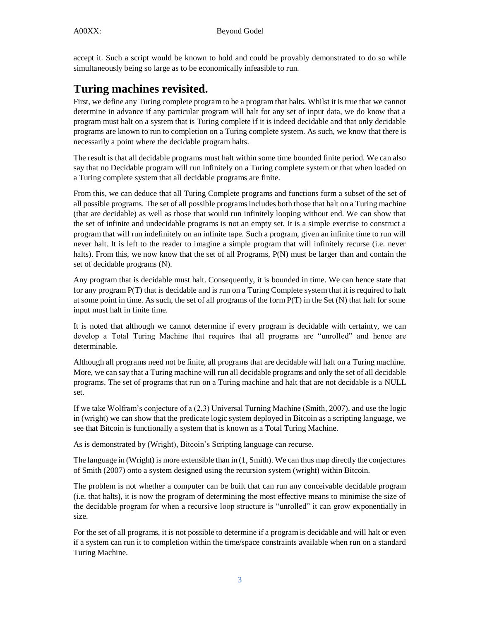accept it. Such a script would be known to hold and could be provably demonstrated to do so while simultaneously being so large as to be economically infeasible to run.

# **Turing machines revisited.**

First, we define any Turing complete program to be a program that halts. Whilst it is true that we cannot determine in advance if any particular program will halt for any set of input data, we do know that a program must halt on a system that is Turing complete if it is indeed decidable and that only decidable programs are known to run to completion on a Turing complete system. As such, we know that there is necessarily a point where the decidable program halts.

The result is that all decidable programs must halt within some time bounded finite period. We can also say that no Decidable program will run infinitely on a Turing complete system or that when loaded on a Turing complete system that all decidable programs are finite.

From this, we can deduce that all Turing Complete programs and functions form a subset of the set of all possible programs. The set of all possible programs includes both those that halt on a Turing machine (that are decidable) as well as those that would run infinitely looping without end. We can show that the set of infinite and undecidable programs is not an empty set. It is a simple exercise to construct a program that will run indefinitely on an infinite tape. Such a program, given an infinite time to run will never halt. It is left to the reader to imagine a simple program that will infinitely recurse (i.e. never halts). From this, we now know that the set of all Programs,  $P(N)$  must be larger than and contain the set of decidable programs (N).

Any program that is decidable must halt. Consequently, it is bounded in time. We can hence state that for any program P(T) that is decidable and is run on a Turing Complete system that it is required to halt at some point in time. As such, the set of all programs of the form P(T) in the Set (N) that halt for some input must halt in finite time.

It is noted that although we cannot determine if every program is decidable with certainty, we can develop a Total Turing Machine that requires that all programs are "unrolled" and hence are determinable.

Although all programs need not be finite, all programs that are decidable will halt on a Turing machine. More, we can say that a Turing machine will run all decidable programs and only the set of all decidable programs. The set of programs that run on a Turing machine and halt that are not decidable is a NULL set.

If we take Wolfram's conjecture of a (2,3) Universal Turning Machine (Smith, 2007), and use the logic in (wright) we can show that the predicate logic system deployed in Bitcoin as a scripting language, we see that Bitcoin is functionally a system that is known as a Total Turing Machine.

As is demonstrated by (Wright), Bitcoin's Scripting language can recurse.

The language in (Wright) is more extensible than in (1, Smith). We can thus map directly the conjectures of Smith (2007) onto a system designed using the recursion system (wright) within Bitcoin.

The problem is not whether a computer can be built that can run any conceivable decidable program (i.e. that halts), it is now the program of determining the most effective means to minimise the size of the decidable program for when a recursive loop structure is "unrolled" it can grow exponentially in size.

For the set of all programs, it is not possible to determine if a program is decidable and will halt or even if a system can run it to completion within the time/space constraints available when run on a standard Turing Machine.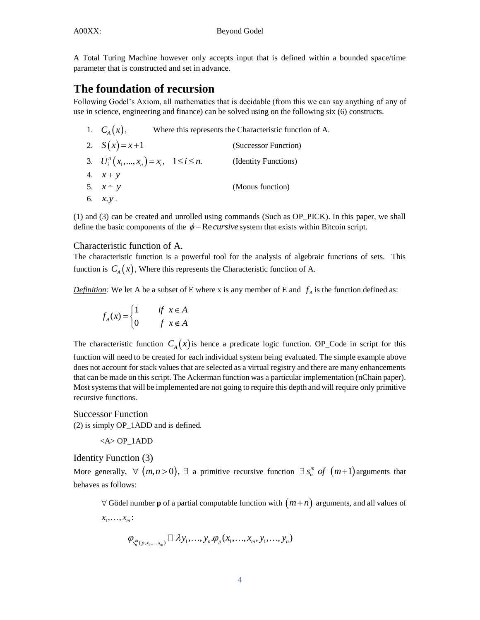A Total Turing Machine however only accepts input that is defined within a bounded space/time parameter that is constructed and set in advance.

# **The foundation of recursion**

Following Godel's Axiom, all mathematics that is decidable (from this we can say anything of any of use in science, engineering and finance) can be solved using on the following six (6) constructs.

- 1.  $C_4(x)$ , Where this represents the Characteristic function of A.
- 2.  $S(x) = x+1$ (Successor Function) 3.  $U_i^n(x_1,...,x_n) = x_i, \quad 1 \le i \le n.$ (Identity Functions) 4.  $x + y$ 5.  $x \div y$ *<sup>x</sup> <sup>y</sup>* <sup>−</sup> (Monus function) 6. *xy*. .

(1) and (3) can be created and unrolled using commands (Such as OP\_PICK). In this paper, we shall define the basic components of the  $\phi$  – Re*cursive* system that exists within Bitcoin script.

Characteristic function of A.

The characteristic function is a powerful tool for the analysis of algebraic functions of sets. This function is  $C_A(x)$ , Where this represents the Characteristic function of A.

*Definition:* We let A be a subset of E where x is any member of E and  $f_A$  is the function defined as:

$$
f_A(x) = \begin{cases} 1 & \text{if } x \in A \\ 0 & \text{if } x \notin A \end{cases}
$$

The characteristic function  $C_A(x)$  is hence a predicate logic function. OP\_Code in script for this function will need to be created for each individual system being evaluated. The simple example above does not account for stack values that are selected as a virtual registry and there are many enhancements that can be made on this script. The Ackerman function was a particular implementation (nChain paper). Most systems that will be implemented are not going to require this depth and will require only primitive recursive functions.

Successor Function (2) is simply OP\_1ADD and is defined.

<A> OP\_1ADD

Identity Function (3)

More generally,  $\forall$   $(m,n>0)$ ,  $\exists$  a primitive recursive function  $\exists s_n^m$  of  $(m+1)$  $\exists s_n^m$  *of*  $(m+1)$  arguments that behaves as follows:

 $\forall$  Gödel number  $\bf{p}$  of a partial computable function with  $\big(m+n\big)$  arguments, and all values of  $x_1, \ldots, x_m$ :

$$
\varphi_{s_n^m(p,x_1,\ldots,x_m)}\ \Box\ \lambda y_1,\ldots,y_n.\varphi_p(x_1,\ldots,x_m,y_1,\ldots,y_n)
$$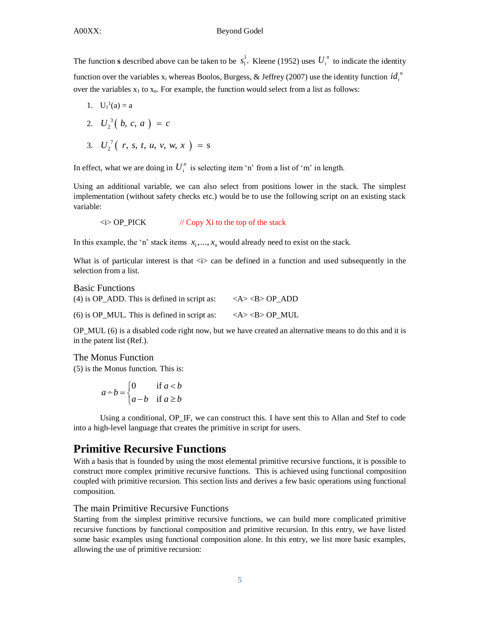The function **s** described above can be taken to be  $s_1^1$  $s_1^1$ . Kleene (1952) uses  $U_i^n$  to indicate the identity function over the variables  $x_i$  whereas Boolos, Burgess, & Jeffrey (2007) use the identity function  $id_i^{\,n}$ over the variables  $x_1$  to  $x_n$ . For example, the function would select from a list as follows:

$$
1. \quad U_1^1(a) = a
$$

2. 
$$
U_2^3(b, c, a) = c
$$

3. 
$$
U_2^7(r, s, t, u, v, w, x) = s
$$

In effect, what we are doing in  $U_i^n$  is selecting item 'n' from a list of 'm' in length.

Using an additional variable, we can also select from positions lower in the stack. The simplest implementation (without safety checks etc.) would be to use the following script on an existing stack variable:

 $\langle i \rangle$  OP\_PICK // Copy Xi to the top of the stack

In this example, the 'n' stack items  $x_1, \ldots, x_n$  would already need to exist on the stack.

What is of particular interest is that  $\langle i \rangle$  can be defined in a function and used subsequently in the selection from a list.

Basic Functions (4) is OP\_ADD. This is defined in script as:  $\langle A \rangle \langle B \rangle$  OP\_ADD (6) is OP\_MUL. This is defined in script as:  $\langle A \rangle \langle B \rangle$  OP\_MUL

OP\_MUL (6) is a disabled code right now, but we have created an alternative means to do this and it is in the patent list (Ref.).

#### The Monus Function

(5) is the Monus function. This is:

$$
a \div b = \begin{cases} 0 & \text{if } a < b \\ a - b & \text{if } a \ge b \end{cases}
$$

Using a conditional, OP\_IF, we can construct this. I have sent this to Allan and Stef to code into a high-level language that creates the primitive in script for users.

# **Primitive Recursive Functions**

With a basis that is founded by using the most elemental primitive recursive functions, it is possible to construct more complex primitive recursive functions. This is achieved using functional composition coupled with primitive recursion. This section lists and derives a few basic operations using functional composition.

#### The main Primitive Recursive Functions

Starting from the simplest primitive recursive functions, we can build more complicated primitive recursive functions by functional composition and primitive recursion. In this entry, we have listed some basic examples using functional composition alone. In this entry, we list more basic examples, allowing the use of primitive recursion: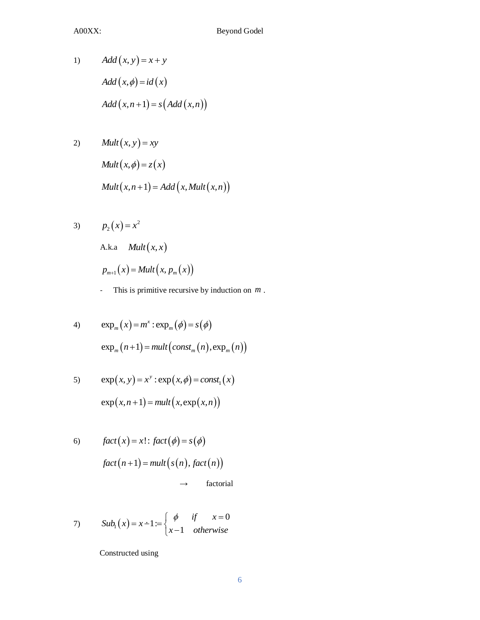1) 
$$
Add(x, y) = x + y
$$

$$
Add(x, \phi) = id(x)
$$

$$
Add(x, n+1) = s(Add(x, n))
$$

2) 
$$
Mult(x, y) = xy
$$

$$
Mult(x, \phi) = z(x)
$$

$$
Mult(x, n+1) = Add(x, Mult(x, n))
$$

3) 
$$
p_2(x) = x^2
$$
  
A.k.a *Mult* $(x, x)$   

$$
p_{m+1}(x) = Mult(x, p_m(x))
$$

- This is primitive recursive by induction on *<sup>m</sup>* .

4) 
$$
\exp_m(x) = m^x : \exp_m(\phi) = s(\phi)
$$

$$
\exp_m(n+1) = mult\left( const_m(n), \exp_m(n) \right)
$$

5) 
$$
\exp(x, y) = x^{y} : \exp(x, \phi) = const_1(x)
$$

$$
\exp(x, n+1) = mult(x, \exp(x, n))
$$

6) 
$$
fact(x) = x! : fact(\phi) = s(\phi)
$$

$$
fact(n+1) = mult(s(n), fact(n))
$$

$$
\rightarrow
$$
 factorial

7) 
$$
Sub_1(x) = x \div 1 := \begin{cases} \phi & \text{if } x = 0 \\ x - 1 & \text{otherwise} \end{cases}
$$

Constructed using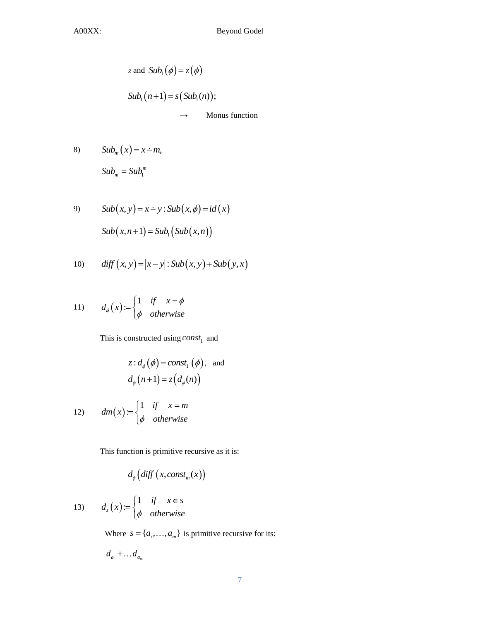z and 
$$
Sub_1(\phi) = z(\phi)
$$
  
\n $Sub_1(n+1) = s(Sub_1(n));$   
\n $\rightarrow$  Monus function

8) 
$$
Subm(x) = x - m,
$$

$$
Subm = Sub1m
$$

9) Sub
$$
(x, y) = x \div y
$$
: Sub $(x, \phi)$  = id $(x)$   
Sub $(x, n+1)$  = Sub $(\text{Sub}(x, n))$ 

10) 
$$
diff(x, y) = |x - y| : Sub(x, y) + Sub(y, x)
$$

11) 
$$
d_{\phi}(x) := \begin{cases} 1 & \text{if } x = \phi \\ \phi & \text{otherwise} \end{cases}
$$

This is constructed using *const*<sub>1</sub> and

$$
z: d_{\phi}(\phi) = const_1(\phi), \text{ and}
$$

$$
d_{\phi}(n+1) = z(d_{\phi}(n))
$$

12) 
$$
dm(x) := \begin{cases} 1 & \text{if } x = m \\ \phi & \text{otherwise} \end{cases}
$$

This function is primitive recursive as it is:

$$
d_{\phi}\left(\text{diff}\left(x, \text{const}_{m}(x)\right)\right)
$$

13) 
$$
d_s(x) := \begin{cases} 1 & \text{if } x \in s \\ \phi & \text{otherwise} \end{cases}
$$

Where  $s = \{a_i, \ldots, a_m\}$  is primitive recursive for its:

$$
d_{a_i} + \dots d_{a_m}
$$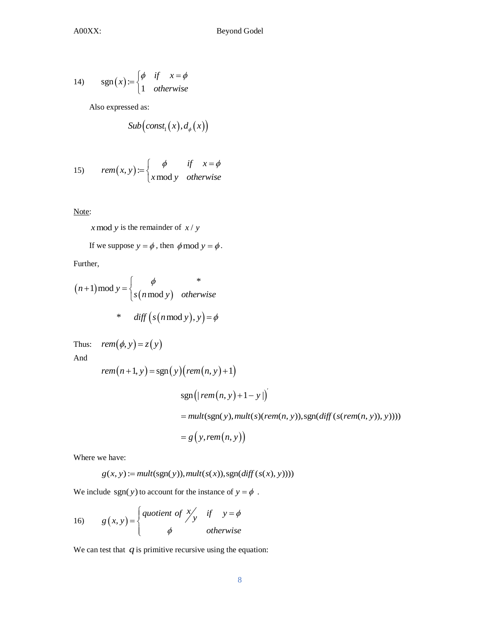14) 
$$
\operatorname{sgn}(x) := \begin{cases} \phi & \text{if } x = \phi \\ 1 & \text{otherwise} \end{cases}
$$

Also expressed as:

$$
Sub\big(const_1(x),d_{\phi}(x)\big)
$$

15) 
$$
rem(x, y) := \begin{cases} \phi & \text{if } x = \phi \\ x \bmod y & \text{otherwise} \end{cases}
$$

Note:

*x* mod *y* is the remainder of  $x / y$ 

If we suppose 
$$
y = \phi
$$
, then  $\phi \mod y = \phi$ .

Further,

$$
(n+1) \mod y = \begin{cases} \phi & * \\ s (n \mod y) & otherwise \end{cases}
$$
  
\*  $diff (s (n \mod y), y) = \phi$ 

Thus: *rem* $(\phi, y) = z(y)$ And

$$
rem(n+1, y) = sgn(y) (rem(n, y) + 1)
$$

 $\text{sgn}\left( |\textit{rem}(n, y) + 1 - y| \right)^{7}$  $= mult(sgn(y), mult(s)(rem(n, y)), sgn(diff(s(rem(n, y)), y))))$  $= g(y, rem(n, y))$ 

Where we have:

$$
g(x, y) := mult(\text{sgn}(y)), mult(s(x)), \text{sgn}(diff(s(x), y))))
$$

We include sgn(y) to account for the instance of  $y = \phi$ .

16) 
$$
g(x, y) = \begin{cases} \text{quotient of } x' & \text{if } y = \phi \\ \phi & \text{otherwise} \end{cases}
$$

We can test that  $q$  is primitive recursive using the equation: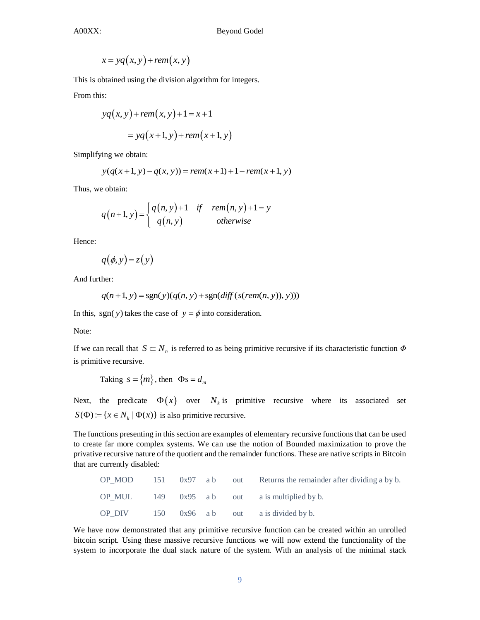$$
x = yq(x, y) + rem(x, y)
$$

This is obtained using the division algorithm for integers.

From this:

$$
yq(x, y) + rem(x, y) + 1 = x + 1
$$

$$
= yq(x+1, y) + rem(x+1, y)
$$

Simplifying we obtain:

$$
y(q(x+1, y) - q(x, y)) = rem(x+1) + 1 - rem(x+1, y)
$$

Thus, we obtain:

$$
q(n+1, y) = \begin{cases} q(n, y)+1 & \text{if } rem(n, y)+1=y\\ q(n, y) & \text{otherwise} \end{cases}
$$

Hence:

$$
q(\phi, y) = z(y)
$$

And further:

$$
q(n+1, y) = sgn(y)(q(n, y) + sgn(diff (s(rem(n, y)), y)))
$$

In this, sgn(y) takes the case of  $y = \phi$  into consideration.

Note:

If we can recall that  $S \subseteq N_n$  is referred to as being primitive recursive if its characteristic function  $\Phi$ is primitive recursive.

Taking  $s = \{m\}$ , then  $\Phi s = d_m$ 

Next, the predicate  $\Phi(x)$  over  $N_k$  is primitive recursive where its associated set  $S(\Phi) := \{ x \in N_k \mid \Phi(x) \}$  is also primitive recursive.

The functions presenting in this section are examples of elementary recursive functions that can be used to create far more complex systems. We can use the notion of Bounded maximization to prove the privative recursive nature of the quotient and the remainder functions. These are native scripts in Bitcoin that are currently disabled:

|        |  |  | OP MOD $151$ 0x97 a b out Returns the remainder after dividing a by b. |
|--------|--|--|------------------------------------------------------------------------|
|        |  |  | OP MUL $149$ 0x95 a b out a is multiplied by b.                        |
| OP DIV |  |  | $150 \t 0x96 \t ab \t out \t a is divided by b.$                       |

We have now demonstrated that any primitive recursive function can be created within an unrolled bitcoin script. Using these massive recursive functions we will now extend the functionality of the system to incorporate the dual stack nature of the system. With an analysis of the minimal stack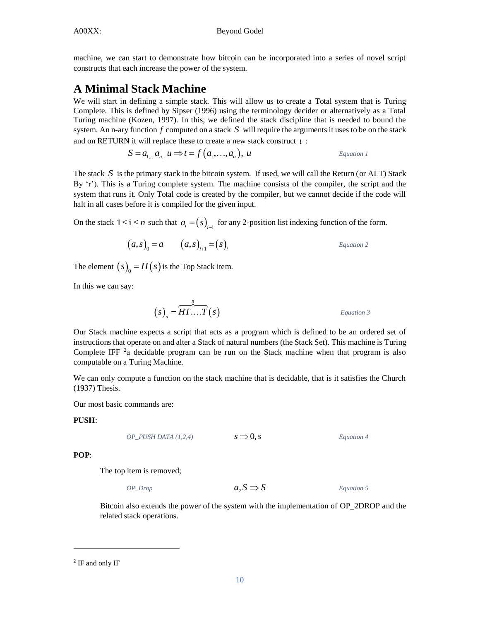machine, we can start to demonstrate how bitcoin can be incorporated into a series of novel script constructs that each increase the power of the system.

# **A Minimal Stack Machine**

We will start in defining a simple stack. This will allow us to create a Total system that is Turing Complete. This is defined by Sipser (1996) using the terminology decider or alternatively as a Total Turing machine (Kozen, 1997). In this, we defined the stack discipline that is needed to bound the system. An n-ary function *f* computed on a stack *S* will require the arguments it uses to be on the stack and on RETURN it will replace these to create a new stack construct *t* :

$$
S = a_{1...} a_n, u \Longrightarrow t = f(a_1,...,a_n), u
$$
 *Equation 1*

The stack S is the primary stack in the bitcoin system. If used, we will call the Return (or ALT) Stack By 'r'). This is a Turing complete system. The machine consists of the compiler, the script and the system that runs it. Only Total code is created by the compiler, but we cannot decide if the code will halt in all cases before it is compiled for the given input.

On the stack  $1 \le i \le n$  such that  $a_i = (s)_{i-1}$  for any 2-position list indexing function of the form.

$$
(a,s)_0 = a \qquad (a,s)_{i+1} = (s)_i
$$
 *Equation 2*

The element  $(s)$ <sub>0</sub> =  $H(s)$  is the Top Stack item.

In this we can say:

$$
(s)_n = \overbrace{HT \dots T}^n (s)
$$
 *Equation 3*

Our Stack machine expects a script that acts as a program which is defined to be an ordered set of instructions that operate on and alter a Stack of natural numbers (the Stack Set). This machine is Turing Complete IFF  $2a$  decidable program can be run on the Stack machine when that program is also computable on a Turing Machine.

We can only compute a function on the stack machine that is decidable, that is it satisfies the Church (1937) Thesis.

Our most basic commands are:

**PUSH**:

$$
OP_PUSH DATA (1,2,4) \t\t\t\t\t s \Longrightarrow 0, s \t\t\t \tEquation 4
$$

**POP**:

The top item is removed;

$$
or_{\text{pro}} \qquad \qquad a, S \Rightarrow S \qquad \qquad \text{Equation 5}
$$

Bitcoin also extends the power of the system with the implementation of OP\_2DROP and the related stack operations.

l

<sup>2</sup> IF and only IF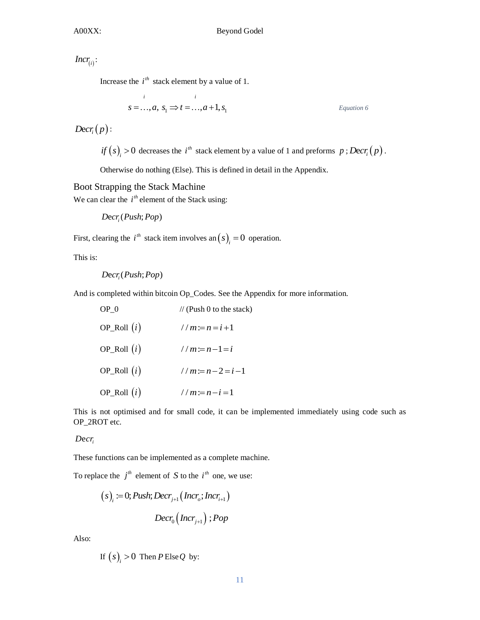$Incr_{(i)}$ :

Increase the  $i^{th}$  stack element by a value of 1.

$$
s = ..., a, s_1 \Rightarrow t = ..., a + 1, s_1
$$
  
Equation 6

 $Decr_i(p)$  :

 $if(s)$  > 0 decreases the  $i<sup>th</sup>$  stack element by a value of 1 and preforms  $p$  ; Decr<sub>i</sub>  $(p)$ .

Otherwise do nothing (Else). This is defined in detail in the Appendix.

### Boot Strapping the Stack Machine

We can clear the  $i<sup>th</sup>$  element of the Stack using:

 $Decr<sub>i</sub>(Push; Pop)$ 

First, clearing the  $i^{th}$  stack item involves an $(s)$ <sub>i</sub> = 0 operation.

This is:

```
Decr<sub>i</sub>(Push; Pop)
```
And is completed within bitcoin Op\_Codes. See the Appendix for more information.

| OP 0          | $\frac{1}{2}$ (Push 0 to the stack) |
|---------------|-------------------------------------|
| OP_Roll $(i)$ | $1/m = n = i+1$                     |
| OP_Roll $(i)$ | $1/m = n-1 = i$                     |
| OP_Roll $(i)$ | $1/m = n-2 = i-1$                   |
| OP_Roll $(i)$ | $1/m := n - i = 1$                  |

This is not optimised and for small code, it can be implemented immediately using code such as OP\_2ROT etc.

 $Decr_i$ 

These functions can be implemented as a complete machine.

To replace the  $j^{th}$  element of S to the  $i^{th}$  one, we use:

$$
(s)_i := 0; \text{Push}; \text{Decr}_{j+1}(\text{Incr}_o; \text{Incr}_{i+1})
$$

$$
\text{Decr}_0(\text{Incr}_{j+1}); \text{Pop}
$$

Also:

If 
$$
(s)_i > 0
$$
 Then  $P$  Else $Q$  by: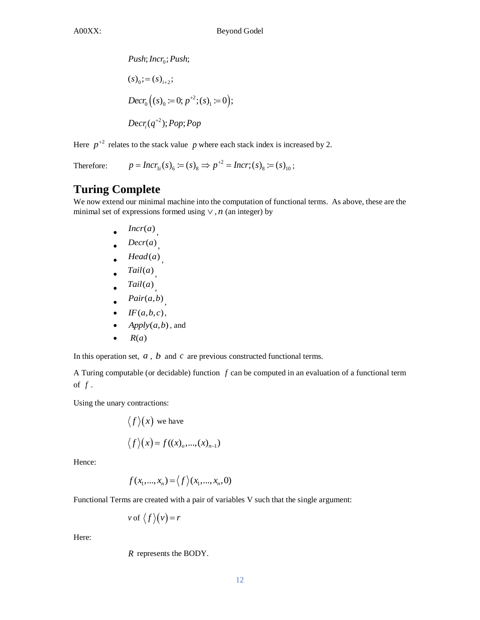*Push*; *Incr*<sub>0</sub>; *Push*;  
\n
$$
(s)_0
$$
; =  $(s)_{i+2}$ ;  
\n $Decr_0((s)_0 = 0; p^{+2}; (s)_1 = 0);$   
\n $Decr_i(q^{+2}); Pop; Pop$ 

Here  $p^{+2}$  relates to the stack value p where each stack index is increased by 2.

Therefore:  $p = Incr_{3i}(s)_6 := (s)_8 \Rightarrow p^{+2} = Incr$ ;  $(s)_8 := (s)_{10}$ ;

# **Turing Complete**

We now extend our minimal machine into the computation of functional terms. As above, these are the minimal set of expressions formed using  $\vee$ , *n* (an integer) by

- $Incr(a)$ <sub>,</sub>
- $Decr(a)$ <sub>,</sub>
- $Head(a)$ <sub>,</sub>
- $\bullet$   $Tail(a)$ ,
- $Tail(a)$ <sub>,</sub>
- $Pair(a, b)$ <sub>,</sub>
- $IF(a,b,c),$
- Apply $(a,b)$ , and
- $R(a)$

In this operation set,  $a$ ,  $b$  and  $c$  are previous constructed functional terms.

A Turing computable (or decidable) function  $f$  can be computed in an evaluation of a functional term of *f* .

Using the unary contractions:

$$
\langle f \rangle(x)
$$
 we have  
 $\langle f \rangle(x) = f((x_0, ..., (x_{n-1}))$ 

Hence:

$$
f(x_1,...,x_n) = \langle f \rangle (x_1,...,x_n,0)
$$

Functional Terms are created with a pair of variables V such that the single argument:

$$
v \text{ of } \langle f \rangle(v) = r
$$

Here:

*R* represents the BODY.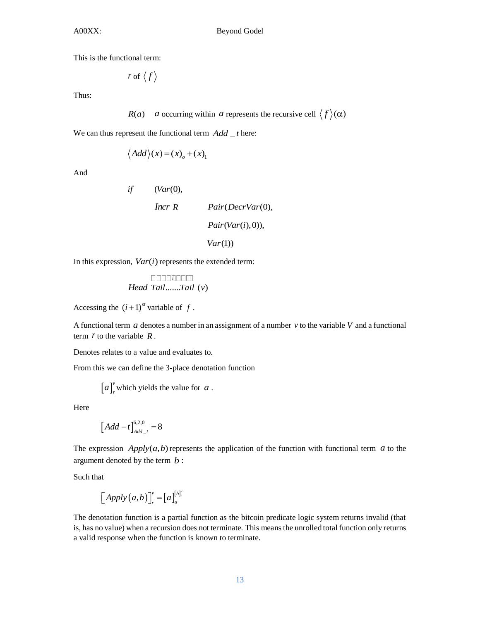This is the functional term:

$$
r \,\mathrm{of}\ \big< f \big> \vert
$$

Thus:

 $R(a)$  *a* occurring within *a* represents the recursive cell  $\langle f \rangle$ ( $\alpha$ )

We can thus represent the functional term  $Add_t$  there:

$$
\langle
$$
  $\langle$  *Add* $\rangle$   $(x) = (x)_{o} + (x)_{1}$ 

And

if 
$$
(Var(0),
$$
  
\nIncr R  $Pair(DecrVar(0),$   
\nPair(Var(i),0)),  
\nVar(1))

In this expression,  $Var(i)$  represents the extended term:

$$
\square \square \square \square \square \square
$$
  
Head Tail......Tail (v)

Accessing the  $(i+1)^{st}$  variable of f.

A functional term  $a$  denotes a number in an assignment of a number  $v$  to the variable  $V$  and a functional term *r* to the variable *R* .

Denotes relates to a value and evaluates to.

From this we can define the 3-place denotation function

$$
[a]_r^v
$$
 which yields the value for  $a$ .

**Here** 

$$
\left[Add - t\right]_{Add_{-}t}^{6,2,0} = 8
$$

The expression  $Apply(a, b)$  represents the application of the function with functional term  $a$  to the argument denoted by the term *b* :

Such that

$$
\left[ \left. Apply(a,b) \right]_{r}^{v} = \left[ a \right]_{a}^{\left[ b \right]_{r}^{v}}
$$

The denotation function is a partial function as the bitcoin predicate logic system returns invalid (that is, has no value) when a recursion does not terminate. This means the unrolled total function only returns a valid response when the function is known to terminate.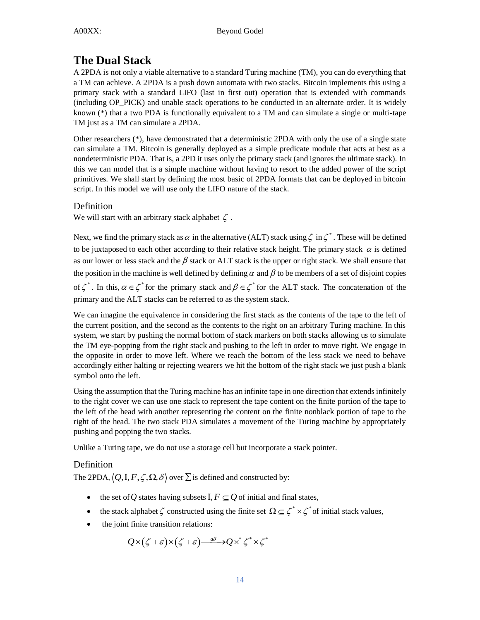# **The Dual Stack**

A 2PDA is not only a viable alternative to a standard Turing machine (TM), you can do everything that a TM can achieve. A 2PDA is a push down automata with two stacks. Bitcoin implements this using a primary stack with a standard LIFO (last in first out) operation that is extended with commands (including OP\_PICK) and unable stack operations to be conducted in an alternate order. It is widely known (\*) that a two PDA is functionally equivalent to a TM and can simulate a single or multi-tape TM just as a TM can simulate a 2PDA.

Other researchers (\*), have demonstrated that a deterministic 2PDA with only the use of a single state can simulate a TM. Bitcoin is generally deployed as a simple predicate module that acts at best as a nondeterministic PDA. That is, a 2PD it uses only the primary stack (and ignores the ultimate stack). In this we can model that is a simple machine without having to resort to the added power of the script primitives. We shall start by defining the most basic of 2PDA formats that can be deployed in bitcoin script. In this model we will use only the LIFO nature of the stack.

## Definition

We will start with an arbitrary stack alphabet  $\zeta$ .

Next, we find the primary stack as  $\alpha$  in the alternative (ALT) stack using  $\zeta$  in  $\zeta^*$ . These will be defined to be juxtaposed to each other according to their relative stack height. The primary stack  $\alpha$  is defined as our lower or less stack and the  $\beta$  stack or ALT stack is the upper or right stack. We shall ensure that the position in the machine is well defined by defining  $\alpha$  and  $\beta$  to be members of a set of disjoint copies of  $\zeta^*$ . In this,  $\alpha \in \zeta^*$  for the primary stack and  $\beta \in \zeta^*$  for the ALT stack. The concatenation of the primary and the ALT stacks can be referred to as the system stack.

We can imagine the equivalence in considering the first stack as the contents of the tape to the left of the current position, and the second as the contents to the right on an arbitrary Turing machine. In this system, we start by pushing the normal bottom of stack markers on both stacks allowing us to simulate the TM eye-popping from the right stack and pushing to the left in order to move right. We engage in the opposite in order to move left. Where we reach the bottom of the less stack we need to behave accordingly either halting or rejecting wearers we hit the bottom of the right stack we just push a blank symbol onto the left.

Using the assumption that the Turing machine has an infinite tape in one direction that extends infinitely to the right cover we can use one stack to represent the tape content on the finite portion of the tape to the left of the head with another representing the content on the finite nonblack portion of tape to the right of the head. The two stack PDA simulates a movement of the Turing machine by appropriately pushing and popping the two stacks.

Unlike a Turing tape, we do not use a storage cell but incorporate a stack pointer.

### Definition

The 2PDA,  $\langle Q, \mathrm{I}, F, \zeta, \Omega, \delta \rangle$  over  $\Sigma$  is defined and constructed by:

- the set of Q states having subsets I,  $F \subseteq Q$  of initial and final states,
- the stack alphabet  $\zeta$  constructed using the finite set  $\Omega \subseteq \zeta^* \times \zeta^*$  of initial stack values,
- the joint finite transition relations:

 $Q\!\times\!(\zeta\!+\!\varepsilon)\!\!\times\!(\zeta\!+\!\varepsilon) \!\!\longrightarrow\!\! \frac{a\delta}{2}\!\!\rightarrow\!\! Q\!\times\!\!\!\phantom{i} \zeta^*\!\times\!\zeta^*$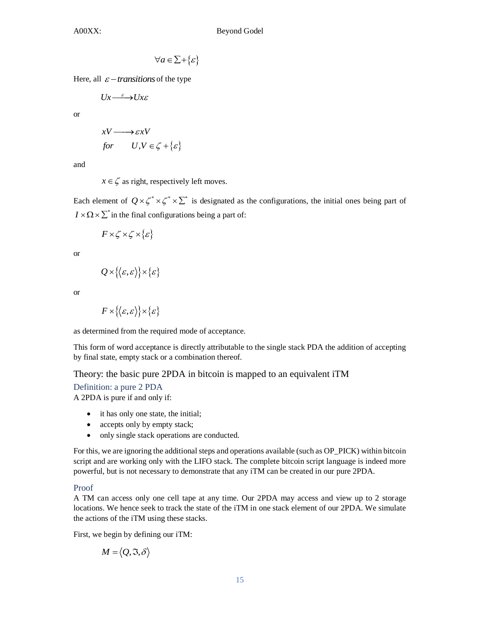$$
\forall a \in \sum + \{\varepsilon\}
$$

Here, all  $\varepsilon$  – *transitions* of the type

$$
Ux \xrightarrow{\varepsilon} Ux\varepsilon
$$

or

$$
xV \longrightarrow \varepsilon xV
$$
  
for  $U, V \in \zeta + \{\varepsilon\}$ 

and

 $x \in \zeta$  as right, respectively left moves.

Each element of  $Q \times \zeta^* \times \zeta^* \times \sum^*$  is designated as the configurations, the initial ones being part of  $I \times \Omega \times \Sigma^*$  in the final configurations being a part of:

$$
F \times \zeta \times \zeta \times \{\varepsilon\}
$$

or

$$
\mathcal{Q}\!\times\!\big\{\!\big\langle\varepsilon,\varepsilon\big\rangle\!\big\}\!\times\!\{\varepsilon\}
$$

or

$$
F \times \big\{ \langle \varepsilon, \varepsilon \rangle \big\} \times \big\{ \varepsilon \big\}
$$

as determined from the required mode of acceptance.

This form of word acceptance is directly attributable to the single stack PDA the addition of accepting by final state, empty stack or a combination thereof.

### Theory: the basic pure 2PDA in bitcoin is mapped to an equivalent iTM

Definition: a pure 2 PDA

A 2PDA is pure if and only if:

- it has only one state, the initial;
- accepts only by empty stack;
- only single stack operations are conducted.

 $\forall a \in \Sigma + \{\varepsilon\}$ <br>
of the type<br>  $\zeta^2 + \{\varepsilon\}$ <br>
sepectively left moves.<br>  $\times \zeta^* \times \Sigma^*$  is designated as<br>
simple and the sumple area of the sumple and the sumple and the sumple and the sumple and the sumple and the sump For this, we are ignoring the additional steps and operations available (such as OP\_PICK) within bitcoin script and are working only with the LIFO stack. The complete bitcoin script language is indeed more powerful, but is not necessary to demonstrate that any iTM can be created in our pure 2PDA.

### Proof

A TM can access only one cell tape at any time. Our 2PDA may access and view up to 2 storage locations. We hence seek to track the state of the iTM in one stack element of our 2PDA. We simulate the actions of the iTM using these stacks.

First, we begin by defining our iTM:

$$
M = \langle Q, \Im, \delta \rangle
$$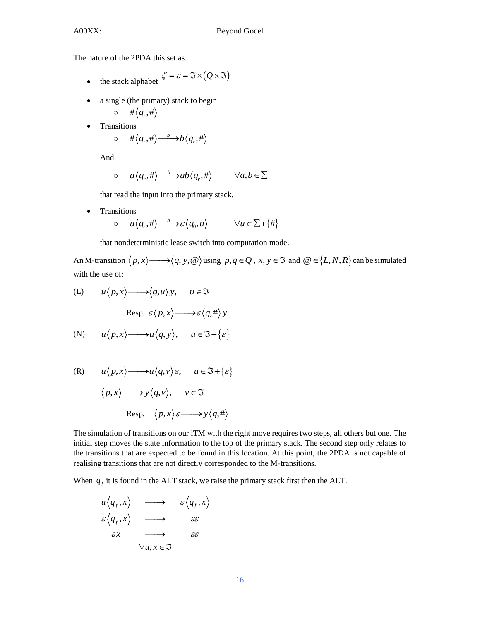The nature of the 2PDA this set as:

- the stack alphabet  $\zeta = \varepsilon = \Im \times (Q \times \Im)$
- a single (the primary) stack to begin o  $\#\langle q_r, \# \rangle$
- Transitions

$$
\circ \quad \# \langle q_r, \# \rangle \longrightarrow b \langle q_r, \# \rangle
$$

And

$$
\circ \quad a\langle q_r, \# \rangle \longrightarrow ab\langle q_r, \# \rangle \qquad \forall a, b \in \Sigma
$$

that read the input into the primary stack.

• Transitions

$$
\circ \quad u \langle q_r, \# \rangle \longrightarrow \varepsilon \langle q_0, u \rangle \qquad \forall u \in \Sigma + \{ \# \}
$$

that nondeterministic lease switch into computation mode.

An M-transition  $\langle p,x\rangle$   $\longrightarrow$   $\langle q,y,\emptyset\rangle$  using  $p,q\in\mathcal{Q}$ ,  $x,y\in\mathfrak{I}$  and  $\emptyset\in\{L,N,R\}$  can be simulated with the use of:

(L) 
$$
u\langle p, x \rangle \longrightarrow \langle q, u \rangle y, \quad u \in \Im
$$
  
Resp.  $\varepsilon \langle p, x \rangle \longrightarrow \varepsilon \langle q, \# \rangle y$ 

(N) 
$$
u\langle p,x\rangle \longrightarrow u\langle q,y\rangle, \quad u \in \mathfrak{I}+\{\varepsilon\}
$$

 $u\langle p,x\rangle \longrightarrow u\langle q,v\rangle \varepsilon, \quad u \in \mathfrak{I}+\{\varepsilon\}.$  $\langle p, x \rangle \longrightarrow y \langle q, v \rangle, \quad v \in \mathfrak{I}$ Resp.  $\langle p, x \rangle \varepsilon \longrightarrow y \langle q, \#$ 

The simulation of transitions on our iTM with the right move requires two steps, all others but one. The initial step moves the state information to the top of the primary stack. The second step only relates to the transitions that are expected to be found in this location. At this point, the 2PDA is not capable of realising transitions that are not directly corresponded to the M-transitions.

When  $q_f$  it is found in the ALT stack, we raise the primary stack first then the ALT.

$$
\begin{array}{ccc}\n u \langle q_f, x \rangle & \longrightarrow & \varepsilon \langle q_f, x \\
 \varepsilon \langle q_f, x \rangle & \longrightarrow & \varepsilon \varepsilon \\
 \varepsilon x & \longrightarrow & \varepsilon \varepsilon \\
 & \forall u, x \in \mathfrak{I}\n\end{array}
$$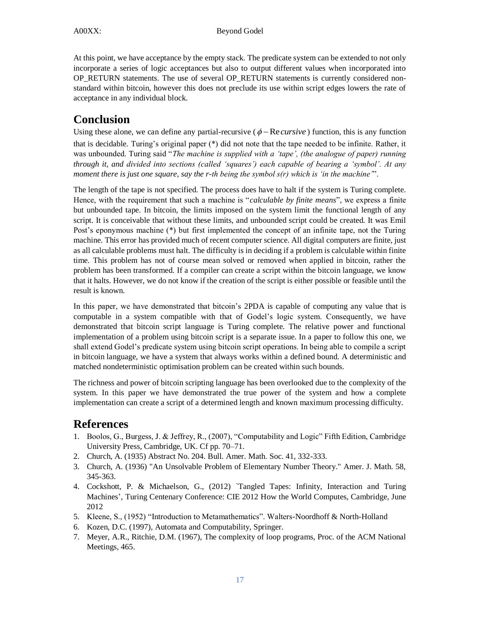At this point, we have acceptance by the empty stack. The predicate system can be extended to not only incorporate a series of logic acceptances but also to output different values when incorporated into OP\_RETURN statements. The use of several OP\_RETURN statements is currently considered nonstandard within bitcoin, however this does not preclude its use within script edges lowers the rate of acceptance in any individual block.

# **Conclusion**

Using these alone, we can define any partial-recursive ( $\phi$  – Re*cursive*) function, this is any function that is decidable. Turing's original paper (\*) did not note that the tape needed to be infinite. Rather, it was unbounded. Turing said "*The machine is supplied with a 'tape', (the analogue of paper) running through it, and divided into sections (called 'squares') each capable of bearing a 'symbol'. At any moment there is just one square, say the r-th being the symbol s(r) which is 'in the machine'*".

The length of the tape is not specified. The process does have to halt if the system is Turing complete. Hence, with the requirement that such a machine is "*calculable by finite means*", we express a finite but unbounded tape. In bitcoin, the limits imposed on the system limit the functional length of any script. It is conceivable that without these limits, and unbounded script could be created. It was Emil Post's eponymous machine (\*) but first implemented the concept of an infinite tape, not the Turing machine. This error has provided much of recent computer science. All digital computers are finite, just as all calculable problems must halt. The difficulty is in deciding if a problem is calculable within finite time. This problem has not of course mean solved or removed when applied in bitcoin, rather the problem has been transformed. If a compiler can create a script within the bitcoin language, we know that it halts. However, we do not know if the creation of the script is either possible or feasible until the result is known.

In this paper, we have demonstrated that bitcoin's 2PDA is capable of computing any value that is computable in a system compatible with that of Godel's logic system. Consequently, we have demonstrated that bitcoin script language is Turing complete. The relative power and functional implementation of a problem using bitcoin script is a separate issue. In a paper to follow this one, we shall extend Godel's predicate system using bitcoin script operations. In being able to compile a script in bitcoin language, we have a system that always works within a defined bound. A deterministic and matched nondeterministic optimisation problem can be created within such bounds.

The richness and power of bitcoin scripting language has been overlooked due to the complexity of the system. In this paper we have demonstrated the true power of the system and how a complete implementation can create a script of a determined length and known maximum processing difficulty.

# **References**

- 1. Boolos, G., Burgess, J. & Jeffrey, R., (2007), "Computability and Logic" Fifth Edition, Cambridge University Press, Cambridge, UK. Cf pp. 70–71.
- 2. Church, A. (1935) Abstract No. 204. Bull. Amer. Math. Soc. 41, 332-333.
- 3. Church, A. (1936) "An Unsolvable Problem of Elementary Number Theory." Amer. J. Math. 58, 345-363.
- 4. Cockshott, P. & Michaelson, G., (2012) `Tangled Tapes: Infinity, Interaction and Turing Machines', Turing Centenary Conference: CIE 2012 How the World Computes, Cambridge, June 2012
- 5. Kleene, S., (1952) "Introduction to Metamathematics". Walters-Noordhoff & North-Holland
- 6. Kozen, D.C. (1997), Automata and Computability, Springer.
- 7. Meyer, A.R., Ritchie, D.M. (1967), The complexity of loop programs, Proc. of the ACM National Meetings, 465.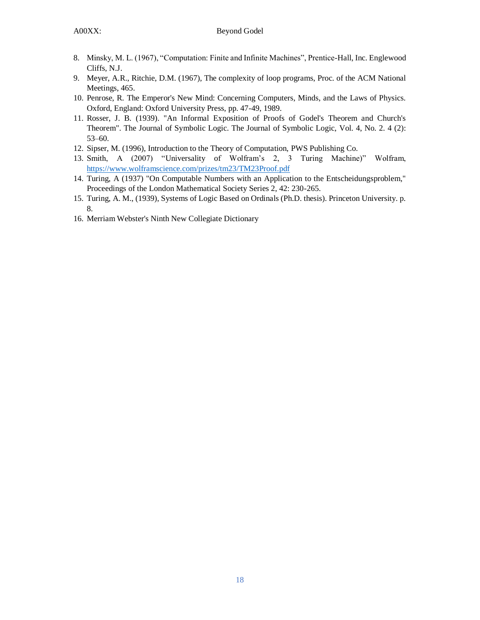- 8. Minsky, M. L. (1967), "Computation: Finite and Infinite Machines", Prentice-Hall, Inc. Englewood Cliffs, N.J.
- 9. Meyer, A.R., Ritchie, D.M. (1967), The complexity of loop programs, Proc. of the ACM National Meetings, 465.
- 10. Penrose, R. The Emperor's New Mind: Concerning Computers, Minds, and the Laws of Physics. Oxford, England: Oxford University Press, pp. 47-49, 1989.
- 11. Rosser, J. B. (1939). "An Informal Exposition of Proofs of Godel's Theorem and Church's Theorem". The Journal of Symbolic Logic. The Journal of Symbolic Logic, Vol. 4, No. 2. 4 (2): 53–60.
- 12. Sipser, M. (1996), Introduction to the Theory of Computation, PWS Publishing Co.
- 13. Smith, A (2007) "Universality of Wolfram's 2, 3 Turing Machine)" Wolfram, https://www.wolframscience.com/prizes/tm23/TM23Proof.pdf
- 14. Turing, A (1937) "On Computable Numbers with an Application to the Entscheidungsproblem," Proceedings of the London Mathematical Society Series 2, 42: 230-265.
- 15. Turing, A. M., (1939), Systems of Logic Based on Ordinals (Ph.D. thesis). Princeton University. p. 8.
- 16. Merriam Webster's Ninth New Collegiate Dictionary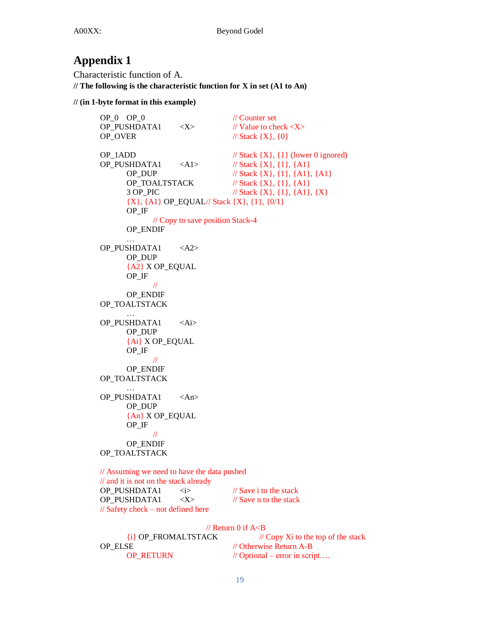# **Appendix 1**

Characteristic function of A. **// The following is the characteristic function for X in set (A1 to An)** 

**// (in 1-byte format in this example)**

OP 0 OP 0 // Counter set OP\_PUSHDATA1 <X> // Value to check <X> OP\_OVER  $\mathcal{V}$  Stack  $\{X\}, \{0\}$ OP\_1ADD  $// Stack {X}, {1} (lower 0 ignored)$ OP\_PUSHDATA1  $\langle A1 \rangle$  // Stack  $\{X\}, \{1\}, \{A1\}$ OP\_DUP  $\mathcal{V}$  Stack {X}, {1}, {A1}, {A1} OP\_TOALTSTACK  $//$  Stack  $\{X\}, \{1\}, \{A1\}$ 3 OP\_PIC  $\#$  Stack {X}, {1}, {A1}, {X} {X}, {A1} OP\_EQUAL// Stack {X}, {1}, {0/1} OP\_IF // Copy to save position Stack-4 OP\_ENDIF … OP\_PUSHDATA1 <A2> OP\_DUP {A2} X OP\_EQUAL OP\_IF // OP\_ENDIF OP\_TOALTSTACK … OP\_PUSHDATA1 <Ai> OP\_DUP {Ai} X OP\_EQUAL OP\_IF // OP\_ENDIF OP\_TOALTSTACK … OP\_PUSHDATA1 <An> OP\_DUP {An} X OP\_EQUAL OP\_IF // OP\_ENDIF OP\_TOALTSTACK // Assuming we need to have the data pushed // and it is not on the stack already OP\_PUSHDATA1 <i> // Save i to the stack OP\_PUSHDATA1 <X> // Save n to the stack // Safety check – not defined here  $//$  Return 0 if A<B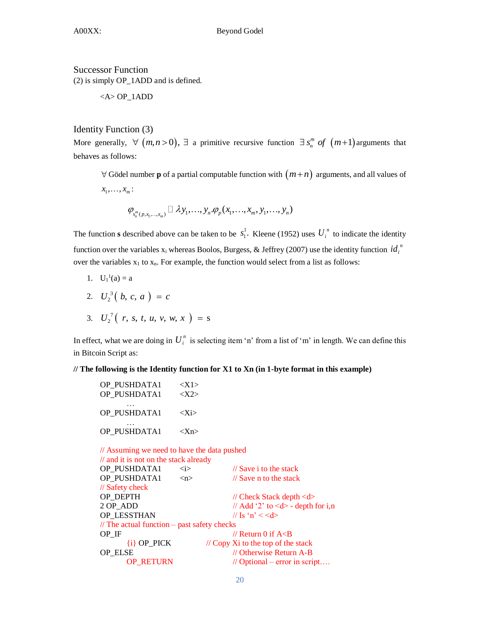Successor Function (2) is simply OP\_1ADD and is defined.

<A> OP\_1ADD

Identity Function (3)

More generally,  $\forall$   $(m,n>0)$ ,  $\exists$  a primitive recursive function  $\exists s_n^m$  of  $(m+1)$  $\exists s_n^m \text{ of } (m+1)$  arguments that behaves as follows:

 $\forall$  Gödel number **p** of a partial computable function with  $(m+n)$  arguments, and all values of  $x_1, \ldots, x_m$ :

$$
\varphi_{s_n^m(p,x_1,\ldots,x_m)}\ \Box\ \lambda y_1,\ldots,y_n.\varphi_p(x_1,\ldots,x_m,y_1,\ldots,y_n)
$$

The function **s** described above can be taken to be  $s_1^1$  $s_1^1$ . Kleene (1952) uses  $U_i^n$  to indicate the identity function over the variables  $x_i$  whereas Boolos, Burgess, & Jeffrey (2007) use the identity function  $id_i^{\,n}$ over the variables  $x_1$  to  $x_n$ . For example, the function would select from a list as follows:

1.  $U_1^1(a) = a$ 

2. 
$$
U_2^3(b, c, a) = c
$$

3. 
$$
U_2^7(r, s, t, u, v, w, x) = s
$$

In effect, what we are doing in  $U_i^n$  is selecting item 'n' from a list of 'm' in length. We can define this in Bitcoin Script as:

### **// The following is the Identity function for X1 to Xn (in 1-byte format in this example)**

| OP_PUSHDATA1                                           | $<\!\!X1\!\!>$       |                                               |
|--------------------------------------------------------|----------------------|-----------------------------------------------|
| OP PUSHDATA1                                           | $<\!\!X2\!\!>$       |                                               |
|                                                        |                      |                                               |
| OP PUSHDATA1                                           | $\langle Xi \rangle$ |                                               |
|                                                        |                      |                                               |
| OP_PUSHDATA1                                           | $<\!\!Xn\!\!>$       |                                               |
|                                                        |                      |                                               |
| // Assuming we need to have the data pushed            |                      |                                               |
| // and it is not on the stack already                  |                      |                                               |
| OP PUSHDATA1                                           | $\langle i \rangle$  | $\frac{1}{2}$ Save i to the stack             |
| OP PUSHDATA1                                           | m                    | $\frac{1}{2}$ Save n to the stack             |
| // Safety check                                        |                      |                                               |
| OP DEPTH                                               |                      | // Check Stack depth $\langle d \rangle$      |
| 2 OP ADD                                               |                      | // Add '2' to $\leq d$ - depth for i,n        |
| OP LESSTHAN                                            |                      | // Is 'n' $\lt$ $\lt$ d>                      |
| $\frac{1}{2}$ The actual function – past safety checks |                      |                                               |
| OP IF                                                  |                      | // Return 0 if $A < B$                        |
| $\{i\}$ OP_PICK                                        |                      | $\frac{1}{2}$ Copy Xi to the top of the stack |
| OP ELSE                                                |                      | // Otherwise Return A-B                       |
| <b>OP RETURN</b>                                       |                      | // Optional – error in script                 |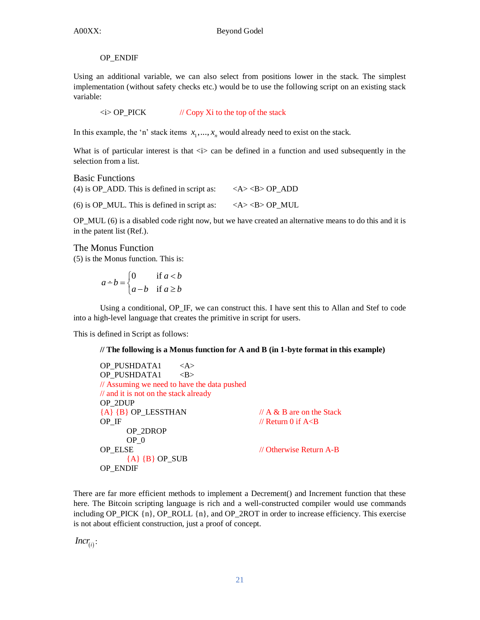### OP ENDIF

Using an additional variable, we can also select from positions lower in the stack. The simplest implementation (without safety checks etc.) would be to use the following script on an existing stack variable:

 $\langle$ i> OP\_PICK // Copy Xi to the top of the stack

In this example, the 'n' stack items  $x_1, \ldots, x_n$  would already need to exist on the stack.

What is of particular interest is that  $\langle i \rangle$  can be defined in a function and used subsequently in the selection from a list.

Basic Functions (4) is OP\_ADD. This is defined in script as:  $\langle A \rangle \langle B \rangle$  OP\_ADD (6) is OP\_MUL. This is defined in script as:  $\langle A \rangle \langle B \rangle$  OP\_MUL

OP MUL  $(6)$  is a disabled code right now, but we have created an alternative means to do this and it is in the patent list (Ref.).

### The Monus Function

(5) is the Monus function. This is:

$$
a \div b = \begin{cases} 0 & \text{if } a < b \\ a - b & \text{if } a \ge b \end{cases}
$$

Using a conditional, OP\_IF, we can construct this. I have sent this to Allan and Stef to code into a high-level language that creates the primitive in script for users.

This is defined in Script as follows:

### **// The following is a Monus function for A and B (in 1-byte format in this example)**

| OP PUSHDATA1                                | $\langle A \rangle$ |                             |
|---------------------------------------------|---------------------|-----------------------------|
| OP PUSHDATA1                                | $\langle B \rangle$ |                             |
| // Assuming we need to have the data pushed |                     |                             |
| // and it is not on the stack already       |                     |                             |
| OP 2DUP                                     |                     |                             |
| ${A}$ ${B}$ OP_LESSTHAN                     |                     | $// A & B$ are on the Stack |
| OP IF                                       |                     | // Return 0 if $A < B$      |
| OP 2DROP                                    |                     |                             |
| OP 0                                        |                     |                             |
| OP ELSE                                     |                     | // Otherwise Return $A-B$   |
| ${A}$ ${B}$ OP_SUB                          |                     |                             |
| OP ENDIF                                    |                     |                             |

There are far more efficient methods to implement a Decrement() and Increment function that these here. The Bitcoin scripting language is rich and a well-constructed compiler would use commands including OP\_PICK  $\{n\}$ , OP\_ROLL  $\{n\}$ , and OP\_2ROT in order to increase efficiency. This exercise is not about efficient construction, just a proof of concept.

 $Incr_{(i)}$ :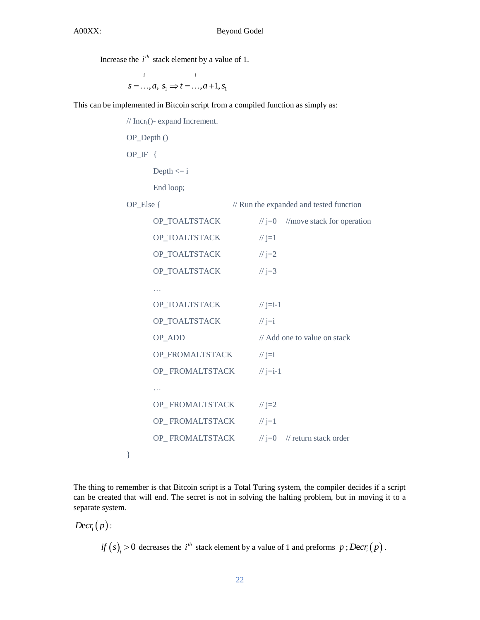Increase the  $i^{th}$  stack element by a value of 1.

$$
s = \dots, a, s_1 \Longrightarrow t = \dots, a+1, s_1
$$

This can be implemented in Bitcoin script from a compiled function as simply as:

|             | // Incr <sub>i</sub> ()- expand Increment. |                     |                                                                  |
|-------------|--------------------------------------------|---------------------|------------------------------------------------------------------|
| OP_Depth () |                                            |                     |                                                                  |
| $OP_I$ [    |                                            |                     |                                                                  |
|             | Depth $\leq i$                             |                     |                                                                  |
|             | End loop;                                  |                     |                                                                  |
| OP_Else {   |                                            |                     | // Run the expanded and tested function                          |
|             | OP_TOALTSTACK                              |                     | $\frac{1}{2}$ =0 $\frac{1}{\sqrt{2}}$ //move stack for operation |
|             | OP_TOALTSTACK                              | $\frac{\pi}{1}$ j=1 |                                                                  |
|             | OP_TOALTSTACK                              | $\frac{\pi}{2}$     |                                                                  |
|             | OP_TOALTSTACK                              | $\frac{\pi}{3}$     |                                                                  |
|             | .                                          |                     |                                                                  |
|             | OP_TOALTSTACK                              | $//$ j=i-1          |                                                                  |
|             | OP_TOALTSTACK                              | $\frac{1}{i}$ j=i   |                                                                  |
|             | OP_ADD                                     |                     | // Add one to value on stack                                     |
|             | OP_FROMALTSTACK                            | $// j=i$            |                                                                  |
|             | OP_FROMALTSTACK                            | $//$ j=i-1          |                                                                  |
|             | .                                          |                     |                                                                  |
|             | OP_FROMALTSTACK                            | $\frac{\pi}{1}$ j=2 |                                                                  |
|             | OP_FROMALTSTACK                            | $// j=1$            |                                                                  |
|             | OP_FROMALTSTACK                            |                     | $//$ j=0 $//$ return stack order                                 |
| ι           |                                            |                     |                                                                  |

The thing to remember is that Bitcoin script is a Total Turing system, the compiler decides if a script can be created that will end. The secret is not in solving the halting problem, but in moving it to a separate system.

 $Decr_i(p)$  :

}

 $if(s)$ <sub>*i*</sub> > 0 decreases the *i*<sup>th</sup> stack element by a value of 1 and preforms  $p$  ; Decr<sub>*i*</sub>  $(p)$ .